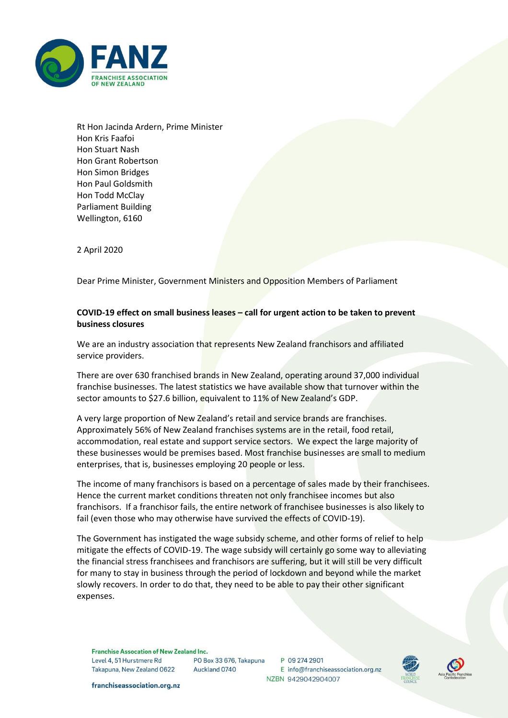

Rt Hon Jacinda Ardern, Prime Minister Hon Kris Faafoi Hon Stuart Nash Hon Grant Robertson Hon Simon Bridges Hon Paul Goldsmith Hon Todd McClay Parliament Building Wellington, 6160

2 April 2020

Dear Prime Minister, Government Ministers and Opposition Members of Parliament

## **COVID-19 effect on small business leases – call for urgent action to be taken to prevent business closures**

We are an industry association that represents New Zealand franchisors and affiliated service providers.

There are over 630 franchised brands in New Zealand, operating around 37,000 individual franchise businesses. The latest statistics we have available show that turnover within the sector amounts to \$27.6 billion, equivalent to 11% of New Zealand's GDP.

A very large proportion of New Zealand's retail and service brands are franchises. Approximately 56% of New Zealand franchises systems are in the retail, food retail, accommodation, real estate and support service sectors. We expect the large majority of these businesses would be premises based. Most franchise businesses are small to medium enterprises, that is, businesses employing 20 people or less.

The income of many franchisors is based on a percentage of sales made by their franchisees. Hence the current market conditions threaten not only franchisee incomes but also franchisors. If a franchisor fails, the entire network of franchisee businesses is also likely to fail (even those who may otherwise have survived the effects of COVID-19).

The Government has instigated the wage subsidy scheme, and other forms of relief to help mitigate the effects of COVID-19. The wage subsidy will certainly go some way to alleviating the financial stress franchisees and franchisors are suffering, but it will still be very difficult for many to stay in business through the period of lockdown and beyond while the market slowly recovers. In order to do that, they need to be able to pay their other significant expenses.

**Franchise Assocation of New Zealand Inc.** Level 4, 51 Hurstmere Rd Takapuna, New Zealand 0622

PO Box 33 676, Takapuna Auckland 0740

P 09 274 2901 E info@franchiseassociation.org.nz NZBN 9429042904007

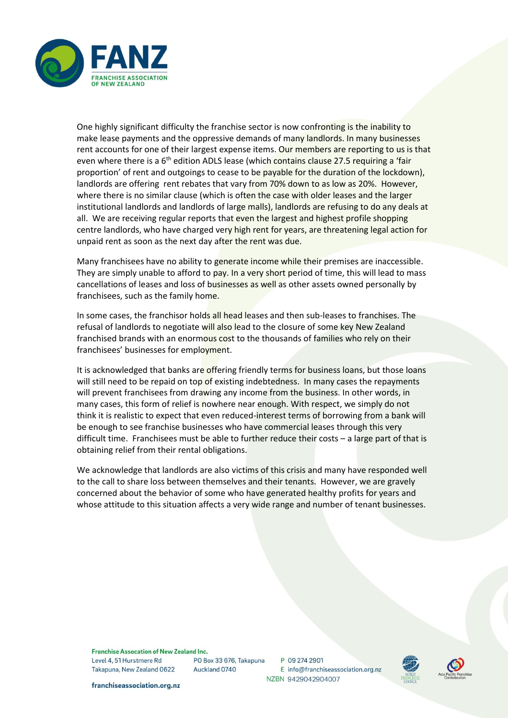

One highly significant difficulty the franchise sector is now confronting is the inability to make lease payments and the oppressive demands of many landlords. In many businesses rent accounts for one of their largest expense items. Our members are reporting to us is that even where there is a 6<sup>th</sup> edition ADLS lease (which contains clause 27.5 requiring a 'fair proportion' of rent and outgoings to cease to be payable for the duration of the lockdown), landlords are offering rent rebates that vary from 70% down to as low as 20%. However, where there is no similar clause (which is often the case with older leases and the larger institutional landlords and landlords of large malls), landlords are refusing to do any deals at all. We are receiving regular reports that even the largest and highest profile shopping centre landlords, who have charged very high rent for years, are threatening legal action for unpaid rent as soon as the next day after the rent was due.

Many franchisees have no ability to generate income while their premises are inaccessible. They are simply unable to afford to pay. In a very short period of time, this will lead to mass cancellations of leases and loss of businesses as well as other assets owned personally by franchisees, such as the family home.

In some cases, the franchisor holds all head leases and then sub-leases to franchises. The refusal of landlords to negotiate will also lead to the closure of some key New Zealand franchised brands with an enormous cost to the thousands of families who rely on their franchisees' businesses for employment.

It is acknowledged that banks are offering friendly terms for business loans, but those loans will still need to be repaid on top of existing indebtedness. In many cases the repayments will prevent franchisees from drawing any income from the business. In other words, in many cases, this form of relief is nowhere near enough. With respect, we simply do not think it is realistic to expect that even reduced-interest terms of borrowing from a bank will be enough to see franchise businesses who have commercial leases through this very difficult time. Franchisees must be able to further reduce their costs – a large part of that is obtaining relief from their rental obligations.

We acknowledge that landlords are also victims of this crisis and many have responded well to the call to share loss between themselves and their tenants. However, we are gravely concerned about the behavior of some who have generated healthy profits for years and whose attitude to this situation affects a very wide range and number of tenant businesses.

**Franchise Assocation of New Zealand Inc.** Level 4, 51 Hurstmere Rd Takapuna, New Zealand 0622

PO Box 33 676, Takapuna Auckland 0740

P 09 274 2901 E info@franchiseassociation.org.nz NZBN 9429042904007

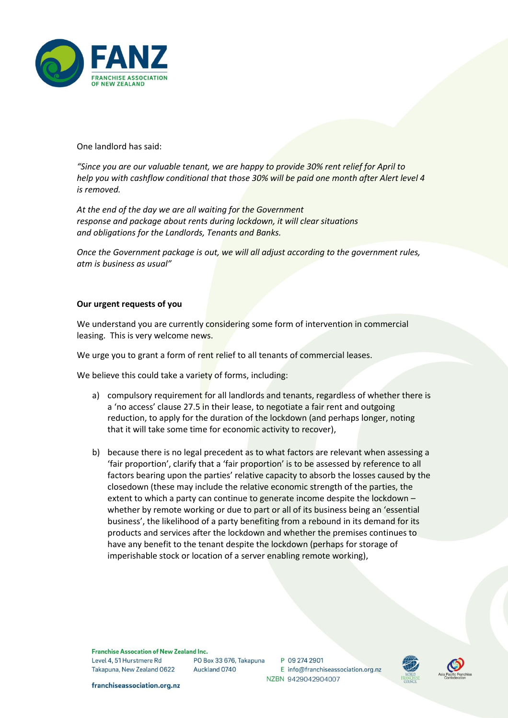

One landlord has said:

*"Since you are our valuable tenant, we are happy to provide 30% rent relief for April to help you with cashflow conditional that those 30% will be paid one month after Alert level 4 is removed.* 

*At the end of the day we are all waiting for the Government response and package about rents during lockdown, it will clear situations and obligations for the Landlords, Tenants and Banks.*

*Once the Government package is out, we will all adjust according to the government rules, atm is business as usual"*

## **Our urgent requests of you**

We understand you are currently considering some form of intervention in commercial leasing. This is very welcome news.

We urge you to grant a form of rent relief to all tenants of commercial leases.

We believe this could take a variety of forms, including:

- a) compulsory requirement for all landlords and tenants, regardless of whether there is a 'no access' clause 27.5 in their lease, to negotiate a fair rent and outgoing reduction, to apply for the duration of the lockdown (and perhaps longer, noting that it will take some time for economic activity to recover),
- b) because there is no legal precedent as to what factors are relevant when assessing a 'fair proportion', clarify that a 'fair proportion' is to be assessed by reference to all factors bearing upon the parties' relative capacity to absorb the losses caused by the closedown (these may include the relative economic strength of the parties, the extent to which a party can continue to generate income despite the lockdown – whether by remote working or due to part or all of its business being an 'essential business', the likelihood of a party benefiting from a rebound in its demand for its products and services after the lockdown and whether the premises continues to have any benefit to the tenant despite the lockdown (perhaps for storage of imperishable stock or location of a server enabling remote working),

**Franchise Assocation of New Zealand Inc.** Level 4, 51 Hurstmere Rd Takapuna, New Zealand 0622

PO Box 33 676, Takapuna Auckland 0740

P 09 274 2901 E info@franchiseassociation.org.nz NZBN 9429042904007